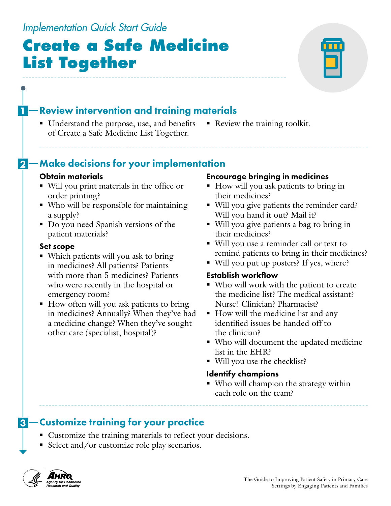### **-Review intervention and training materials** ■ Understand the purpose, use, and benefits ■ Review the training toolkit. of Create a Safe Medicine List Together.

## 2 – Make decisions for your implementation

### Obtain materials

- Will you print materials in the office or order printing?
- Who will be responsible for maintaining a supply?
- Do you need Spanish versions of the patient materials?

### Set scope

- Which patients will you ask to bring in medicines? All patients? Patients with more than 5 medicines? Patients who were recently in the hospital or emergency room?
- How often will you ask patients to bring in medicines? Annually? When they've had a medicine change? When they've sought other care (specialist, hospital)?

### Encourage bringing in medicines

- How will you ask patients to bring in their medicines?
- Will you give patients the reminder card? Will you hand it out? Mail it?
- Will you give patients a bag to bring in their medicines?
- Will you use a reminder call or text to remind patients to bring in their medicines?
- Will you put up posters? If yes, where?

### Establish workflow

- Who will work with the patient to create the medicine list? The medical assistant? Nurse? Clinician? Pharmacist?
- How will the medicine list and any identified issues be handed off to the clinician?
- Who will document the updated medicine list in the EHR?
- Will you use the checklist?

### Identify champions

 Who will champion the strategy within each role on the team?

## **3** Customize training for your practice

- Customize the training materials to reflect your decisions.
- Select and/or customize role play scenarios.



## *Implementation Quick Start Guide*

# **Create a Safe Medicine List Together**